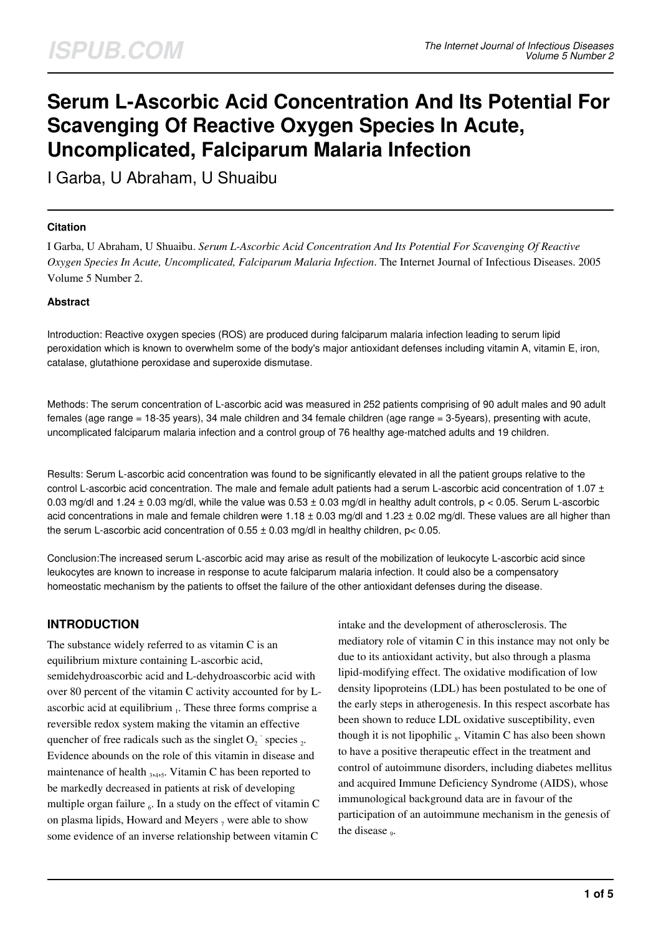# **Serum L-Ascorbic Acid Concentration And Its Potential For Scavenging Of Reactive Oxygen Species In Acute, Uncomplicated, Falciparum Malaria Infection**

I Garba, U Abraham, U Shuaibu

#### **Citation**

I Garba, U Abraham, U Shuaibu. *Serum L-Ascorbic Acid Concentration And Its Potential For Scavenging Of Reactive Oxygen Species In Acute, Uncomplicated, Falciparum Malaria Infection*. The Internet Journal of Infectious Diseases. 2005 Volume 5 Number 2.

#### **Abstract**

Introduction: Reactive oxygen species (ROS) are produced during falciparum malaria infection leading to serum lipid peroxidation which is known to overwhelm some of the body's major antioxidant defenses including vitamin A, vitamin E, iron, catalase, glutathione peroxidase and superoxide dismutase.

Methods: The serum concentration of L-ascorbic acid was measured in 252 patients comprising of 90 adult males and 90 adult females (age range = 18-35 years), 34 male children and 34 female children (age range = 3-5years), presenting with acute, uncomplicated falciparum malaria infection and a control group of 76 healthy age-matched adults and 19 children.

Results: Serum L-ascorbic acid concentration was found to be significantly elevated in all the patient groups relative to the control L-ascorbic acid concentration. The male and female adult patients had a serum L-ascorbic acid concentration of  $1.07 \pm$ 0.03 mg/dl and 1.24  $\pm$  0.03 mg/dl, while the value was 0.53  $\pm$  0.03 mg/dl in healthy adult controls, p < 0.05. Serum L-ascorbic acid concentrations in male and female children were  $1.18 \pm 0.03$  mg/dl and  $1.23 \pm 0.02$  mg/dl. These values are all higher than the serum L-ascorbic acid concentration of  $0.55 \pm 0.03$  mg/dl in healthy children, p< 0.05.

Conclusion:The increased serum L-ascorbic acid may arise as result of the mobilization of leukocyte L-ascorbic acid since leukocytes are known to increase in response to acute falciparum malaria infection. It could also be a compensatory homeostatic mechanism by the patients to offset the failure of the other antioxidant defenses during the disease.

## **INTRODUCTION**

The substance widely referred to as vitamin C is an equilibrium mixture containing L-ascorbic acid, semidehydroascorbic acid and L-dehydroascorbic acid with over 80 percent of the vitamin C activity accounted for by Lascorbic acid at equilibrium  $<sub>1</sub>$ . These three forms comprise a</sub> reversible redox system making the vitamin an effective quencher of free radicals such as the singlet  $O_2$ <sup>-</sup> species  $_2$ . Evidence abounds on the role of this vitamin in disease and maintenance of health <sub>3,4,5</sub>. Vitamin C has been reported to be markedly decreased in patients at risk of developing multiple organ failure  $_6$ . In a study on the effect of vitamin C on plasma lipids, Howard and Meyers  $_7$  were able to show some evidence of an inverse relationship between vitamin C

intake and the development of atherosclerosis. The mediatory role of vitamin C in this instance may not only be due to its antioxidant activity, but also through a plasma lipid-modifying effect. The oxidative modification of low density lipoproteins (LDL) has been postulated to be one of the early steps in atherogenesis. In this respect ascorbate has been shown to reduce LDL oxidative susceptibility, even though it is not lipophilic  $_8$ . Vitamin C has also been shown to have a positive therapeutic effect in the treatment and control of autoimmune disorders, including diabetes mellitus and acquired Immune Deficiency Syndrome (AIDS), whose immunological background data are in favour of the participation of an autoimmune mechanism in the genesis of the disease <sub>9</sub>.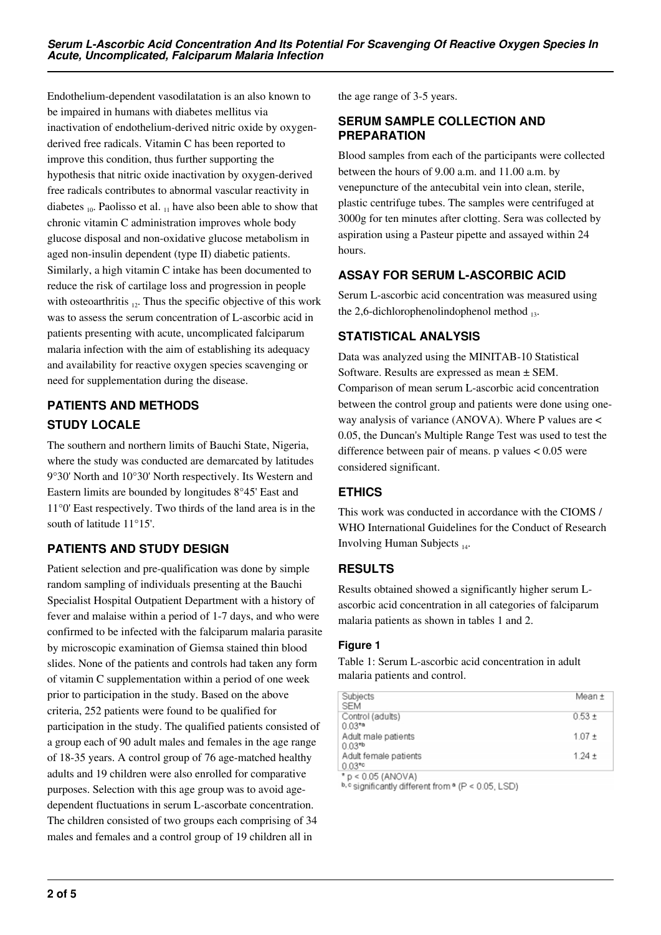Endothelium-dependent vasodilatation is an also known to be impaired in humans with diabetes mellitus via inactivation of endothelium-derived nitric oxide by oxygenderived free radicals. Vitamin C has been reported to improve this condition, thus further supporting the hypothesis that nitric oxide inactivation by oxygen-derived free radicals contributes to abnormal vascular reactivity in diabetes  $_{10}$ . Paolisso et al.  $_{11}$  have also been able to show that chronic vitamin C administration improves whole body glucose disposal and non-oxidative glucose metabolism in aged non-insulin dependent (type II) diabetic patients. Similarly, a high vitamin C intake has been documented to reduce the risk of cartilage loss and progression in people with osteoarthritis  $_{12}$ . Thus the specific objective of this work was to assess the serum concentration of L-ascorbic acid in patients presenting with acute, uncomplicated falciparum malaria infection with the aim of establishing its adequacy and availability for reactive oxygen species scavenging or need for supplementation during the disease.

## **PATIENTS AND METHODS STUDY LOCALE**

The southern and northern limits of Bauchi State, Nigeria, where the study was conducted are demarcated by latitudes 9°30' North and 10°30' North respectively. Its Western and Eastern limits are bounded by longitudes 8°45' East and 11°0' East respectively. Two thirds of the land area is in the south of latitude 11°15'.

## **PATIENTS AND STUDY DESIGN**

Patient selection and pre-qualification was done by simple random sampling of individuals presenting at the Bauchi Specialist Hospital Outpatient Department with a history of fever and malaise within a period of 1-7 days, and who were confirmed to be infected with the falciparum malaria parasite by microscopic examination of Giemsa stained thin blood slides. None of the patients and controls had taken any form of vitamin C supplementation within a period of one week prior to participation in the study. Based on the above criteria, 252 patients were found to be qualified for participation in the study. The qualified patients consisted of a group each of 90 adult males and females in the age range of 18-35 years. A control group of 76 age-matched healthy adults and 19 children were also enrolled for comparative purposes. Selection with this age group was to avoid agedependent fluctuations in serum L-ascorbate concentration. The children consisted of two groups each comprising of 34 males and females and a control group of 19 children all in

the age range of 3-5 years.

### **SERUM SAMPLE COLLECTION AND PREPARATION**

Blood samples from each of the participants were collected between the hours of 9.00 a.m. and 11.00 a.m. by venepuncture of the antecubital vein into clean, sterile, plastic centrifuge tubes. The samples were centrifuged at 3000g for ten minutes after clotting. Sera was collected by aspiration using a Pasteur pipette and assayed within 24 hours.

## **ASSAY FOR SERUM L-ASCORBIC ACID**

Serum L-ascorbic acid concentration was measured using the 2,6-dichlorophenolindophenol method  $_{13}$ .

## **STATISTICAL ANALYSIS**

Data was analyzed using the MINITAB-10 Statistical Software. Results are expressed as mean ± SEM. Comparison of mean serum L-ascorbic acid concentration between the control group and patients were done using oneway analysis of variance (ANOVA). Where P values are < 0.05, the Duncan's Multiple Range Test was used to test the difference between pair of means. p values < 0.05 were considered significant.

## **ETHICS**

This work was conducted in accordance with the CIOMS / WHO International Guidelines for the Conduct of Research Involving Human Subjects  $_{14}$ .

## **RESULTS**

Results obtained showed a significantly higher serum Lascorbic acid concentration in all categories of falciparum malaria patients as shown in tables 1 and 2.

#### **Figure 1**

Table 1: Serum L-ascorbic acid concentration in adult malaria patients and control.

| Subjects                           | Mean ±     |
|------------------------------------|------------|
| <b>SEM</b>                         |            |
| Control (adults)                   | $0.53 +$   |
| $0.03^{*a}$                        |            |
| Adult male patients<br>$0.03^{*b}$ | $1.07 +$   |
| Adult female patients              | $1.24 \pm$ |
| $0.03*$                            |            |
|                                    |            |

' p < 0.05 (ANOVA)

b, c significantly different from <sup>a</sup> (P < 0.05, LSD)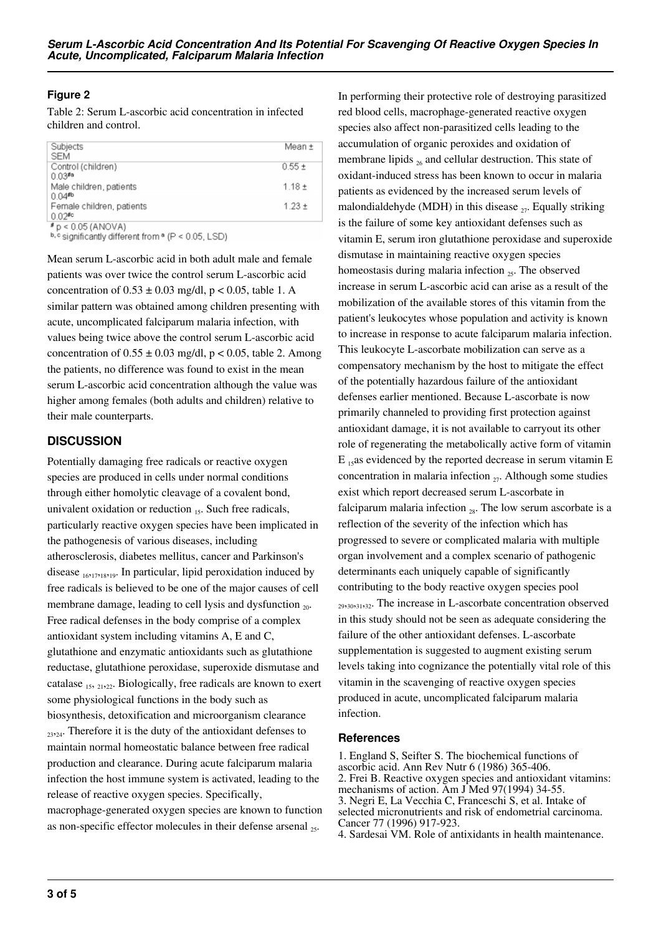## **Figure 2**

Table 2: Serum L-ascorbic acid concentration in infected children and control.

| Subjects                                                                                                                                               | Mean ±     |
|--------------------------------------------------------------------------------------------------------------------------------------------------------|------------|
| <b>SEM</b>                                                                                                                                             |            |
| Control (children)                                                                                                                                     | $0.55 \pm$ |
| $0.03$ <sup>#a</sup>                                                                                                                                   |            |
| Male children, patients                                                                                                                                | $1.18 +$   |
| $0.04$ <sup>#b</sup>                                                                                                                                   |            |
| Female children, patients                                                                                                                              | $1.23 +$   |
| $0.02$ <sup>#c</sup>                                                                                                                                   |            |
| $p$ = 0.05 (ANOVA)                                                                                                                                     |            |
| $h \wedge \ldots \wedge h$ and $h \wedge \ldots \wedge H$ are $h \wedge \ldots \wedge h$ and $h \wedge \ldots \wedge h$ and $h \wedge \ldots \wedge h$ |            |

b, c significantly different from <sup>a</sup> (P < 0.05, LSD)

Mean serum L-ascorbic acid in both adult male and female patients was over twice the control serum L-ascorbic acid concentration of  $0.53 \pm 0.03$  mg/dl, p < 0.05, table 1. A similar pattern was obtained among children presenting with acute, uncomplicated falciparum malaria infection, with values being twice above the control serum L-ascorbic acid concentration of  $0.55 \pm 0.03$  mg/dl, p < 0.05, table 2. Among the patients, no difference was found to exist in the mean serum L-ascorbic acid concentration although the value was higher among females (both adults and children) relative to their male counterparts.

### **DISCUSSION**

Potentially damaging free radicals or reactive oxygen species are produced in cells under normal conditions through either homolytic cleavage of a covalent bond, univalent oxidation or reduction  $_{15}$ . Such free radicals, particularly reactive oxygen species have been implicated in the pathogenesis of various diseases, including atherosclerosis, diabetes mellitus, cancer and Parkinson's disease  $16,17,18,19$ . In particular, lipid peroxidation induced by free radicals is believed to be one of the major causes of cell membrane damage, leading to cell lysis and dysfunction  $_{20}$ . Free radical defenses in the body comprise of a complex antioxidant system including vitamins A, E and C, glutathione and enzymatic antioxidants such as glutathione reductase, glutathione peroxidase, superoxide dismutase and catalase  $_{15}$ ,  $_{2122}$ . Biologically, free radicals are known to exert some physiological functions in the body such as biosynthesis, detoxification and microorganism clearance  $_{23,24}$ . Therefore it is the duty of the antioxidant defenses to maintain normal homeostatic balance between free radical production and clearance. During acute falciparum malaria infection the host immune system is activated, leading to the release of reactive oxygen species. Specifically, macrophage-generated oxygen species are known to function as non-specific effector molecules in their defense arsenal <sub>25</sub>.

In performing their protective role of destroying parasitized red blood cells, macrophage-generated reactive oxygen species also affect non-parasitized cells leading to the accumulation of organic peroxides and oxidation of membrane lipids  $_{26}$  and cellular destruction. This state of oxidant-induced stress has been known to occur in malaria patients as evidenced by the increased serum levels of malondialdehyde (MDH) in this disease  $_{27}$ . Equally striking is the failure of some key antioxidant defenses such as vitamin E, serum iron glutathione peroxidase and superoxide dismutase in maintaining reactive oxygen species homeostasis during malaria infection  $_{25}$ . The observed increase in serum L-ascorbic acid can arise as a result of the mobilization of the available stores of this vitamin from the patient's leukocytes whose population and activity is known to increase in response to acute falciparum malaria infection. This leukocyte L-ascorbate mobilization can serve as a compensatory mechanism by the host to mitigate the effect of the potentially hazardous failure of the antioxidant defenses earlier mentioned. Because L-ascorbate is now primarily channeled to providing first protection against antioxidant damage, it is not available to carryout its other role of regenerating the metabolically active form of vitamin  $E_{15}$ as evidenced by the reported decrease in serum vitamin E concentration in malaria infection  $_{27}$ . Although some studies exist which report decreased serum L-ascorbate in falciparum malaria infection  $_{28}$ . The low serum ascorbate is a reflection of the severity of the infection which has progressed to severe or complicated malaria with multiple organ involvement and a complex scenario of pathogenic determinants each uniquely capable of significantly contributing to the body reactive oxygen species pool  $_{29,30,31,32}$ . The increase in L-ascorbate concentration observed in this study should not be seen as adequate considering the failure of the other antioxidant defenses. L-ascorbate supplementation is suggested to augment existing serum levels taking into cognizance the potentially vital role of this vitamin in the scavenging of reactive oxygen species produced in acute, uncomplicated falciparum malaria infection.

#### **References**

1. England S, Seifter S. The biochemical functions of ascorbic acid. Ann Rev Nutr 6 (1986) 365-406. 2. Frei B. Reactive oxygen species and antioxidant vitamins: mechanisms of action. Am J Med 97(1994) 34-55. 3. Negri E, La Vecchia C, Franceschi S, et al. Intake of selected micronutrients and risk of endometrial carcinoma. Cancer 77 (1996) 917-923.

4. Sardesai VM. Role of antixidants in health maintenance.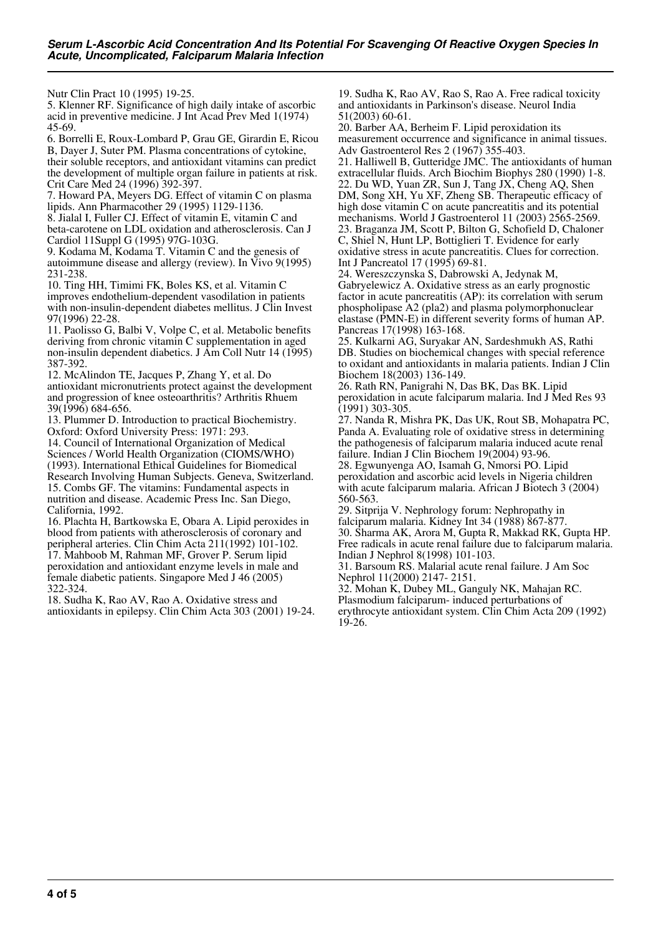Nutr Clin Pract 10 (1995) 19-25.

5. Klenner RF. Significance of high daily intake of ascorbic acid in preventive medicine. J Int Acad Prev Med 1(1974) 45-69.

6. Borrelli E, Roux-Lombard P, Grau GE, Girardin E, Ricou B, Dayer J, Suter PM. Plasma concentrations of cytokine, their soluble receptors, and antioxidant vitamins can predict the development of multiple organ failure in patients at risk. Crit Care Med 24 (1996) 392-397.

7. Howard PA, Meyers DG. Effect of vitamin C on plasma lipids. Ann Pharmacother 29 (1995) 1129-1136.

8. Jialal I, Fuller CJ. Effect of vitamin E, vitamin C and beta-carotene on LDL oxidation and atherosclerosis. Can J Cardiol 11Suppl G (1995) 97G-103G.

9. Kodama M, Kodama T. Vitamin C and the genesis of autoimmune disease and allergy (review). In Vivo 9(1995) 231-238.

10. Ting HH, Timimi FK, Boles KS, et al. Vitamin C improves endothelium-dependent vasodilation in patients with non-insulin-dependent diabetes mellitus. J Clin Invest 97(1996) 22-28.

11. Paolisso G, Balbi V, Volpe C, et al. Metabolic benefits deriving from chronic vitamin C supplementation in aged non-insulin dependent diabetics. J Am Coll Nutr 14 (1995) 387-392.

12. McAlindon TE, Jacques P, Zhang Y, et al. Do antioxidant micronutrients protect against the development and progression of knee osteoarthritis? Arthritis Rhuem 39(1996) 684-656.

13. Plummer D. Introduction to practical Biochemistry. Oxford: Oxford University Press: 1971: 293.

14. Council of International Organization of Medical Sciences / World Health Organization (CIOMS/WHO) (1993). International Ethical Guidelines for Biomedical Research Involving Human Subjects. Geneva, Switzerland. 15. Combs GF. The vitamins: Fundamental aspects in nutrition and disease. Academic Press Inc. San Diego, California, 1992.

16. Plachta H, Bartkowska E, Obara A. Lipid peroxides in blood from patients with atherosclerosis of coronary and peripheral arteries. Clin Chim Acta 211(1992) 101-102. 17. Mahboob M, Rahman MF, Grover P. Serum lipid peroxidation and antioxidant enzyme levels in male and female diabetic patients. Singapore Med J 46 (2005) 322-324.

18. Sudha K, Rao AV, Rao A. Oxidative stress and antioxidants in epilepsy. Clin Chim Acta 303 (2001) 19-24.

19. Sudha K, Rao AV, Rao S, Rao A. Free radical toxicity and antioxidants in Parkinson's disease. Neurol India 51(2003) 60-61.

20. Barber AA, Berheim F. Lipid peroxidation its measurement occurrence and significance in animal tissues. Adv Gastroenterol Res 2 (1967) 355-403.

21. Halliwell B, Gutteridge JMC. The antioxidants of human extracellular fluids. Arch Biochim Biophys 280 (1990) 1-8. 22. Du WD, Yuan ZR, Sun J, Tang JX, Cheng AQ, Shen DM, Song XH, Yu XF, Zheng SB. Therapeutic efficacy of high dose vitamin C on acute pancreatitis and its potential mechanisms. World J Gastroenterol 11 (2003) 2565-2569. 23. Braganza JM, Scott P, Bilton G, Schofield D, Chaloner C, Shiel N, Hunt LP, Bottiglieri T. Evidence for early oxidative stress in acute pancreatitis. Clues for correction. Int J Pancreatol 17 (1995) 69-81.

24. Wereszczynska S, Dabrowski A, Jedynak M, Gabryelewicz A. Oxidative stress as an early prognostic factor in acute pancreatitis (AP): its correlation with serum phospholipase A2 (pla2) and plasma polymorphonuclear elastase (PMN-E) in different severity forms of human AP. Pancreas 17(1998) 163-168.

25. Kulkarni AG, Suryakar AN, Sardeshmukh AS, Rathi DB. Studies on biochemical changes with special reference to oxidant and antioxidants in malaria patients. Indian J Clin Biochem 18(2003) 136-149.

26. Rath RN, Panigrahi N, Das BK, Das BK. Lipid peroxidation in acute falciparum malaria. Ind J Med Res 93 (1991) 303-305.

27. Nanda R, Mishra PK, Das UK, Rout SB, Mohapatra PC, Panda A. Evaluating role of oxidative stress in determining the pathogenesis of falciparum malaria induced acute renal failure. Indian J Clin Biochem 19(2004) 93-96. 28. Egwunyenga AO, Isamah G, Nmorsi PO. Lipid

peroxidation and ascorbic acid levels in Nigeria children with acute falciparum malaria. African J Biotech 3 (2004) 560-563.

29. Sitprija V. Nephrology forum: Nephropathy in falciparum malaria. Kidney Int 34 (1988) 867-877. 30. Sharma AK, Arora M, Gupta R, Makkad RK, Gupta HP. Free radicals in acute renal failure due to falciparum malaria. Indian J Nephrol 8(1998) 101-103.

31. Barsoum RS. Malarial acute renal failure. J Am Soc Nephrol 11(2000) 2147- 2151.

32. Mohan K, Dubey ML, Ganguly NK, Mahajan RC. Plasmodium falciparum- induced perturbations of erythrocyte antioxidant system. Clin Chim Acta 209 (1992) 19-26.